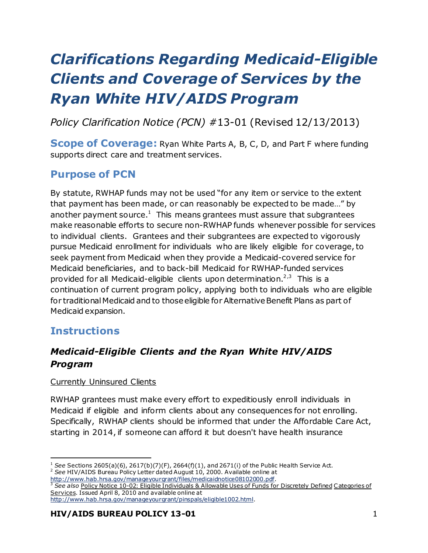# *Clarifications Regarding Medicaid-Eligible Clients and Coverage of Services by the Ryan White HIV/AIDS Program*

*Policy Clarification Notice (PCN) #*13-01 (Revised 12/13/2013)

**Scope of Coverage:** Ryan White Parts A, B, C, D, and Part F where funding supports direct care and treatment services.

# **Purpose of PCN**

By statute, RWHAP funds may not be used "for any item or service to the extent that payment has been made, or can reasonably be expected to be made…" by another payment source.<sup>1</sup> This means grantees must assure that subgrantees make reasonable efforts to secure non-RWHAP funds whenever possible for services to individual clients. Grantees and their subgrantees are expected to vigorously pursue Medicaid enrollment for individuals who are likely eligible for coverage,to seek payment from Medicaid when they provide a Medicaid-covered service for Medicaid beneficiaries, and to back-bill Medicaid for RWHAP-funded services provided for all Medicaid-eligible clients upon determination.<sup>2,3</sup> This is a continuation of current program policy, applying both to individuals who are eligible for traditional Medicaid and to those eligible for Alternative Benefit Plans as part of Medicaid expansion.

## **Instructions**

 $\ddot{\phantom{a}}$ 

## *Medicaid-Eligible Clients and the Ryan White HIV/AIDS Program*

#### Currently Uninsured Clients

RWHAP grantees must make every effort to expeditiously enroll individuals in Medicaid if eligible and inform clients about any consequences for not enrolling. Specifically, RWHAP clients should be informed that under the Affordable Care Act, starting in 2014, if someone can afford it but doesn't have health insurance

<sup>3</sup> *See also* Policy Notice 10-02: Eligible Individuals & Allowable Uses of Funds for Discretely Defined Categories of Services. Issued April 8, 2010 and available online at

<sup>&</sup>lt;sup>1</sup> See Sections 2605(a)(6), 2617(b)(7)(F), 2664(f)(1), and 2671(i) of the Public Health Service Act. <sup>2</sup> See HIV/AIDS Bureau Policy Letter dated August 10, 2000. Available online at

<http://www.hab.hrsa.gov/manageyourgrant/files/medicaidnotice08102000.pdf>.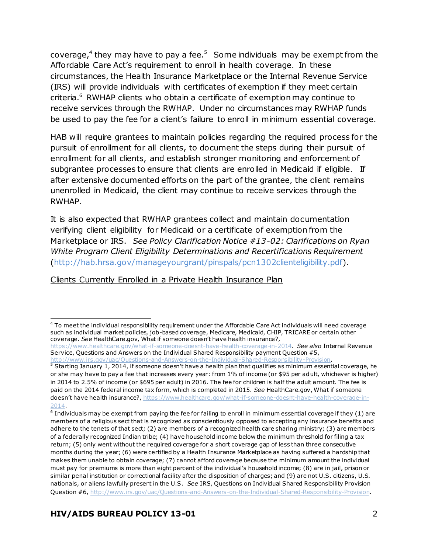coverage,<sup>4</sup> they may have to pay a fee.<sup>5</sup> Some individuals may be exempt from the Affordable Care Act's requirement to enroll in health coverage. In these circumstances, the Health Insurance Marketplace or the Internal Revenue Service (IRS) will provide individuals with certificates of exemption if they meet certain criteria.<sup>6</sup> RWHAP clients who obtain a certificate of exemption may continue to receive services through the RWHAP. Under no circumstances may RWHAP funds be used to pay the fee for a client's failure to enroll in minimum essential coverage.

HAB will require grantees to maintain policies regarding the required process for the pursuit of enrollment for all clients, to document the steps during their pursuit of enrollment for all clients, and establish stronger monitoring and enforcement of subgrantee processes to ensure that clients are enrolled in Medicaid if eligible. If after extensive documented efforts on the part of the grantee, the client remains unenrolled in Medicaid, the client may continue to receive services through the RWHAP.

It is also expected that RWHAP grantees collect and maintain documentation verifying client eligibility for Medicaid or a certificate of exemption from the Marketplace or IRS. *See Policy Clarification Notice #13-02: Clarifications on Ryan White Program Client Eligibility Determinations and Recertifications Requirement* [\(http://hab.hrsa.gov/manageyourgrant/pinspals/pcn1302clienteligibility.pdf\)](http://hab.hrsa.gov/manageyourgrant/pinspals/pcn1302clienteligibility.pdf).

#### Clients Currently Enrolled in a Private Health Insurance Plan

 $\ddot{\phantom{a}}$ <sup>4</sup> To meet the individual responsibility requirement under the Affordable Care Act individuals will need coverage such as individual market policies, job-based coverage, Medicare, Medicaid, CHIP, TRICARE or certain other coverage. *See* HealthCare.gov, What if someone doesn't have health insurance?,

<https://www.healthcare.gov/what-if-someone-doesnt-have-health-coverage-in-2014>. *See also* Internal Revenue Service, Questions and Answers on the Individual Shared Responsibility payment Question #5, <http://www.irs.gov/uac/Questions-and-Answers-on-the-Individual-Shared-Responsibility-Provision>.

 $5$  Starting January 1, 2014, if someone doesn't have a health plan that qualifies as minimum essential coverage, he or she may have to pay a fee that increases every year: from 1% of income (or \$95 per adult, whichever is higher) in 2014 to 2.5% of income (or \$695 per adult) in 2016. The fee for children is half the adult amount. The fee is paid on the 2014 federal income tax form, which is completed in 2015. *See* HealthCare.gov, What if someone doesn't have health insurance?[, https://www.healthcare.gov/what-if-someone-doesnt-have-health-coverage-in-](https://www.healthcare.gov/what-if-someone-doesnt-have-health-coverage-in-2014)[2014.](https://www.healthcare.gov/what-if-someone-doesnt-have-health-coverage-in-2014)

<sup>&</sup>lt;sup>6</sup> Individuals may be exempt from paying the fee for failing to enroll in minimum essential coverage if they (1) are members of a religious sect that is recognized as conscientiously opposed to accepting any insurance benefits and adhere to the tenets of that sect; (2) are members of a recognized health care sharing ministry; (3) are members of a federally recognized Indian tribe; (4) have household income below the minimum threshold for filing a tax return; (5) only went without the required coverage for a short coverage gap of less than three consecutive months during the year; (6) were certified by a Health Insurance Marketplace as having suffered a hardship that makes them unable to obtain coverage; (7) cannot afford coverage because the minimum amount the individual must pay for premiums is more than eight percent of the individual's household income; (8) are in jail, prison or similar penal institution or correctional facility after the disposition of charges; and (9) are not U.S. citizens, U.S. nationals, or aliens lawfully present in the U.S. *See* IRS, Questions on Individual Shared Responsibility Provision Question #6[, http://www.irs.gov/uac/Questions-and-Answers-on-the-Individual-Shared-Responsibility-Provision](http://www.irs.gov/uac/Questions-and-Answers-on-the-Individual-Shared-Responsibility-Provision).